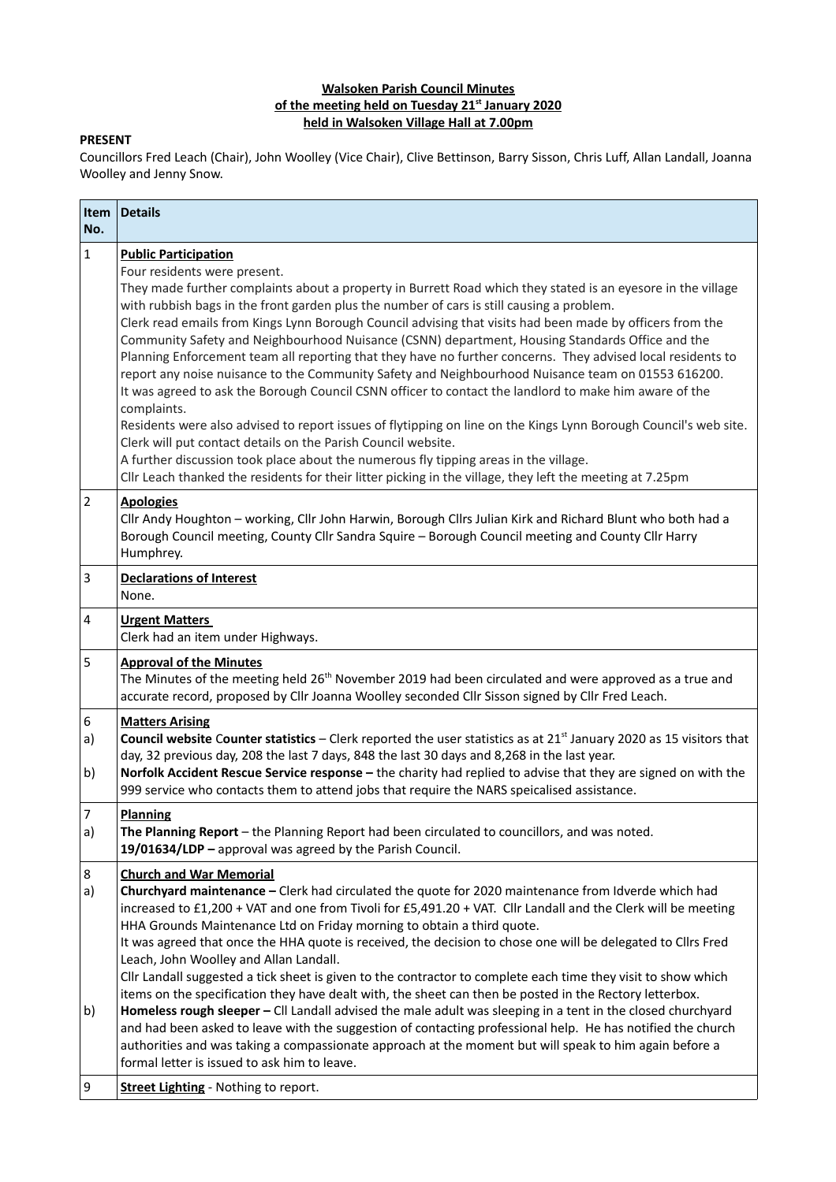## **Walsoken Parish Council Minutes of the meeting held on Tuesday 21st January 2020 held in Walsoken Village Hall at 7.00pm**

## **PRESENT**

Councillors Fred Leach (Chair), John Woolley (Vice Chair), Clive Bettinson, Barry Sisson, Chris Luff, Allan Landall, Joanna Woolley and Jenny Snow.

| <b>Item</b><br>No.   | <b>Details</b>                                                                                                                                                                                                                                                                                                                                                                                                                                                                                                                                                                                                                                                                                                                                                                                                                                                                                                                                                                                                                                                                                                                                                                                                                   |
|----------------------|----------------------------------------------------------------------------------------------------------------------------------------------------------------------------------------------------------------------------------------------------------------------------------------------------------------------------------------------------------------------------------------------------------------------------------------------------------------------------------------------------------------------------------------------------------------------------------------------------------------------------------------------------------------------------------------------------------------------------------------------------------------------------------------------------------------------------------------------------------------------------------------------------------------------------------------------------------------------------------------------------------------------------------------------------------------------------------------------------------------------------------------------------------------------------------------------------------------------------------|
| $\mathbf{1}$         | <b>Public Participation</b><br>Four residents were present.<br>They made further complaints about a property in Burrett Road which they stated is an eyesore in the village<br>with rubbish bags in the front garden plus the number of cars is still causing a problem.<br>Clerk read emails from Kings Lynn Borough Council advising that visits had been made by officers from the<br>Community Safety and Neighbourhood Nuisance (CSNN) department, Housing Standards Office and the<br>Planning Enforcement team all reporting that they have no further concerns. They advised local residents to<br>report any noise nuisance to the Community Safety and Neighbourhood Nuisance team on 01553 616200.<br>It was agreed to ask the Borough Council CSNN officer to contact the landlord to make him aware of the<br>complaints.<br>Residents were also advised to report issues of flytipping on line on the Kings Lynn Borough Council's web site.<br>Clerk will put contact details on the Parish Council website.<br>A further discussion took place about the numerous fly tipping areas in the village.<br>Cllr Leach thanked the residents for their litter picking in the village, they left the meeting at 7.25pm |
| $\overline{2}$       | <b>Apologies</b><br>Cllr Andy Houghton - working, Cllr John Harwin, Borough Cllrs Julian Kirk and Richard Blunt who both had a<br>Borough Council meeting, County Cllr Sandra Squire - Borough Council meeting and County Cllr Harry<br>Humphrey.                                                                                                                                                                                                                                                                                                                                                                                                                                                                                                                                                                                                                                                                                                                                                                                                                                                                                                                                                                                |
| $\overline{3}$       | <b>Declarations of Interest</b><br>None.                                                                                                                                                                                                                                                                                                                                                                                                                                                                                                                                                                                                                                                                                                                                                                                                                                                                                                                                                                                                                                                                                                                                                                                         |
| 4                    | <b>Urgent Matters</b><br>Clerk had an item under Highways.                                                                                                                                                                                                                                                                                                                                                                                                                                                                                                                                                                                                                                                                                                                                                                                                                                                                                                                                                                                                                                                                                                                                                                       |
| 5                    | <b>Approval of the Minutes</b><br>The Minutes of the meeting held 26 <sup>th</sup> November 2019 had been circulated and were approved as a true and<br>accurate record, proposed by Cllr Joanna Woolley seconded Cllr Sisson signed by Cllr Fred Leach.                                                                                                                                                                                                                                                                                                                                                                                                                                                                                                                                                                                                                                                                                                                                                                                                                                                                                                                                                                         |
| 6<br>a)<br>b)        | <b>Matters Arising</b><br>Council website Counter statistics - Clerk reported the user statistics as at 21 <sup>st</sup> January 2020 as 15 visitors that<br>day, 32 previous day, 208 the last 7 days, 848 the last 30 days and 8,268 in the last year.<br>Norfolk Accident Rescue Service response - the charity had replied to advise that they are signed on with the<br>999 service who contacts them to attend jobs that require the NARS speicalised assistance.                                                                                                                                                                                                                                                                                                                                                                                                                                                                                                                                                                                                                                                                                                                                                          |
| $\overline{7}$<br>a) | <b>Planning</b><br>The Planning Report - the Planning Report had been circulated to councillors, and was noted.<br>19/01634/LDP - approval was agreed by the Parish Council.                                                                                                                                                                                                                                                                                                                                                                                                                                                                                                                                                                                                                                                                                                                                                                                                                                                                                                                                                                                                                                                     |
| 8<br>a)              | <b>Church and War Memorial</b><br>Churchyard maintenance - Clerk had circulated the quote for 2020 maintenance from Idverde which had<br>increased to £1,200 + VAT and one from Tivoli for £5,491.20 + VAT. Cllr Landall and the Clerk will be meeting<br>HHA Grounds Maintenance Ltd on Friday morning to obtain a third quote.<br>It was agreed that once the HHA quote is received, the decision to chose one will be delegated to Cllrs Fred<br>Leach, John Woolley and Allan Landall.<br>Cllr Landall suggested a tick sheet is given to the contractor to complete each time they visit to show which<br>items on the specification they have dealt with, the sheet can then be posted in the Rectory letterbox.                                                                                                                                                                                                                                                                                                                                                                                                                                                                                                           |
| b)                   | Homeless rough sleeper - CII Landall advised the male adult was sleeping in a tent in the closed churchyard<br>and had been asked to leave with the suggestion of contacting professional help. He has notified the church<br>authorities and was taking a compassionate approach at the moment but will speak to him again before a<br>formal letter is issued to ask him to leave.                                                                                                                                                                                                                                                                                                                                                                                                                                                                                                                                                                                                                                                                                                                                                                                                                                             |
| 9                    | <b>Street Lighting - Nothing to report.</b>                                                                                                                                                                                                                                                                                                                                                                                                                                                                                                                                                                                                                                                                                                                                                                                                                                                                                                                                                                                                                                                                                                                                                                                      |